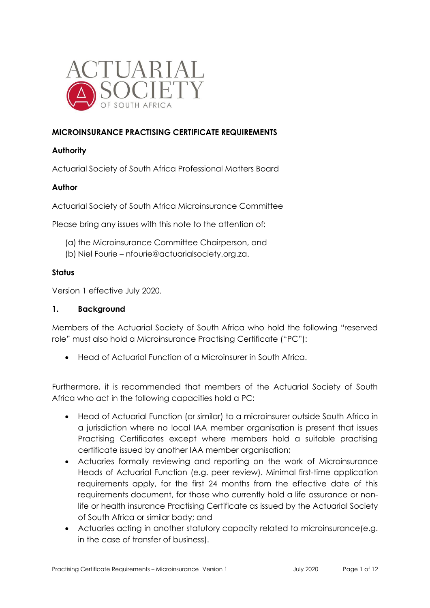

## **MICROINSURANCE PRACTISING CERTIFICATE REQUIREMENTS**

### **Authority**

Actuarial Society of South Africa Professional Matters Board

### **Author**

Actuarial Society of South Africa Microinsurance Committee

Please bring any issues with this note to the attention of:

- (a) the Microinsurance Committee Chairperson, and
- (b) Niel Fourie nfourie@actuarialsociety.org.za.

#### **Status**

Version 1 effective July 2020.

#### **1. Background**

Members of the Actuarial Society of South Africa who hold the following "reserved role" must also hold a Microinsurance Practising Certificate ("PC"):

• Head of Actuarial Function of a Microinsurer in South Africa.

Furthermore, it is recommended that members of the Actuarial Society of South Africa who act in the following capacities hold a PC:

- Head of Actuarial Function (or similar) to a microinsurer outside South Africa in a jurisdiction where no local IAA member organisation is present that issues Practising Certificates except where members hold a suitable practising certificate issued by another IAA member organisation;
- Actuaries formally reviewing and reporting on the work of Microinsurance Heads of Actuarial Function (e.g. peer review). Minimal first-time application requirements apply, for the first 24 months from the effective date of this requirements document, for those who currently hold a life assurance or nonlife or health insurance Practising Certificate as issued by the Actuarial Society of South Africa or similar body; and
- Actuaries acting in another statutory capacity related to microinsurance(e.g. in the case of transfer of business).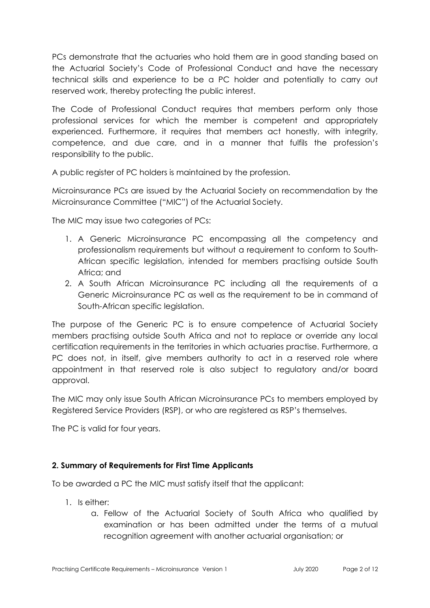PCs demonstrate that the actuaries who hold them are in good standing based on the Actuarial Society's Code of Professional Conduct and have the necessary technical skills and experience to be a PC holder and potentially to carry out reserved work, thereby protecting the public interest.

The Code of Professional Conduct requires that members perform only those professional services for which the member is competent and appropriately experienced. Furthermore, it requires that members act honestly, with integrity, competence, and due care, and in a manner that fulfils the profession's responsibility to the public.

A public register of PC holders is maintained by the profession.

Microinsurance PCs are issued by the Actuarial Society on recommendation by the Microinsurance Committee ("MIC") of the Actuarial Society.

The MIC may issue two categories of PCs:

- 1. A Generic Microinsurance PC encompassing all the competency and professionalism requirements but without a requirement to conform to South-African specific legislation, intended for members practising outside South Africa; and
- 2. A South African Microinsurance PC including all the requirements of a Generic Microinsurance PC as well as the requirement to be in command of South-African specific legislation.

The purpose of the Generic PC is to ensure competence of Actuarial Society members practising outside South Africa and not to replace or override any local certification requirements in the territories in which actuaries practise. Furthermore, a PC does not, in itself, give members authority to act in a reserved role where appointment in that reserved role is also subject to regulatory and/or board approval.

The MIC may only issue South African Microinsurance PCs to members employed by Registered Service Providers (RSP), or who are registered as RSP's themselves.

The PC is valid for four years.

# **2. Summary of Requirements for First Time Applicants**

To be awarded a PC the MIC must satisfy itself that the applicant:

- 1. Is either:
	- a. Fellow of the Actuarial Society of South Africa who qualified by examination or has been admitted under the terms of a mutual recognition agreement with another actuarial organisation; or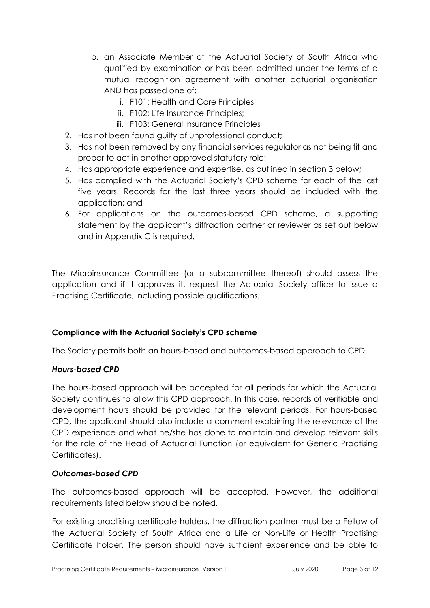- b. an Associate Member of the Actuarial Society of South Africa who qualified by examination or has been admitted under the terms of a mutual recognition agreement with another actuarial organisation AND has passed one of:
	- i. F101: Health and Care Principles;
	- ii. F102: Life Insurance Principles;
	- iii. F103: General Insurance Principles
- 2. Has not been found guilty of unprofessional conduct;
- 3. Has not been removed by any financial services regulator as not being fit and proper to act in another approved statutory role;
- 4. Has appropriate experience and expertise, as outlined in section 3 below;
- 5. Has complied with the Actuarial Society's CPD scheme for each of the last five years. Records for the last three years should be included with the application; and
- 6. For applications on the outcomes-based CPD scheme, a supporting statement by the applicant's diffraction partner or reviewer as set out below and in Appendix C is required.

The Microinsurance Committee (or a subcommittee thereof) should assess the application and if it approves it, request the Actuarial Society office to issue a Practising Certificate, including possible qualifications.

### **Compliance with the Actuarial Society's CPD scheme**

The Society permits both an hours-based and outcomes-based approach to CPD.

### *Hours-based CPD*

The hours-based approach will be accepted for all periods for which the Actuarial Society continues to allow this CPD approach. In this case, records of verifiable and development hours should be provided for the relevant periods. For hours-based CPD, the applicant should also include a comment explaining the relevance of the CPD experience and what he/she has done to maintain and develop relevant skills for the role of the Head of Actuarial Function (or equivalent for Generic Practising Certificates).

### *Outcomes-based CPD*

The outcomes-based approach will be accepted. However, the additional requirements listed below should be noted.

For existing practising certificate holders, the diffraction partner must be a Fellow of the Actuarial Society of South Africa and a Life or Non-Life or Health Practising Certificate holder. The person should have sufficient experience and be able to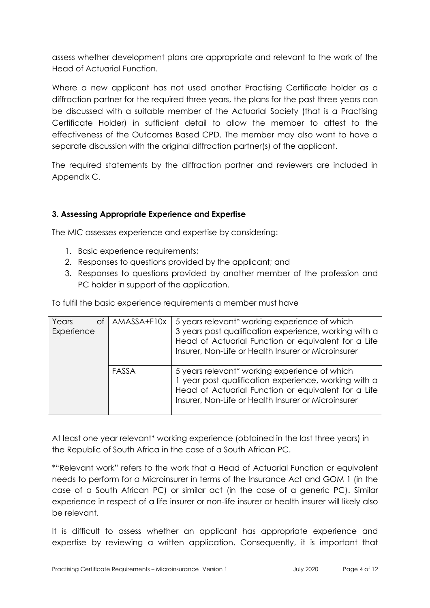assess whether development plans are appropriate and relevant to the work of the Head of Actuarial Function.

Where a new applicant has not used another Practising Certificate holder as a diffraction partner for the required three years, the plans for the past three years can be discussed with a suitable member of the Actuarial Society (that is a Practising Certificate Holder) in sufficient detail to allow the member to attest to the effectiveness of the Outcomes Based CPD. The member may also want to have a separate discussion with the original diffraction partner(s) of the applicant.

The required statements by the diffraction partner and reviewers are included in Appendix C.

# **3. Assessing Appropriate Experience and Expertise**

The MIC assesses experience and expertise by considering:

- 1. Basic experience requirements;
- 2. Responses to questions provided by the applicant; and
- 3. Responses to questions provided by another member of the profession and PC holder in support of the application.

To fulfil the basic experience requirements a member must have

| Years<br>Experience | of   AMASSA+F10x | 5 years relevant* working experience of which<br>3 years post qualification experience, working with a<br>Head of Actuarial Function or equivalent for a Life<br>Insurer, Non-Life or Health Insurer or Microinsurer |
|---------------------|------------------|----------------------------------------------------------------------------------------------------------------------------------------------------------------------------------------------------------------------|
|                     | FASSA            | 5 years relevant* working experience of which<br>1 year post qualification experience, working with a<br>Head of Actuarial Function or equivalent for a Life<br>Insurer, Non-Life or Health Insurer or Microinsurer  |

At least one year relevant\* working experience (obtained in the last three years) in the Republic of South Africa in the case of a South African PC.

\*"Relevant work" refers to the work that a Head of Actuarial Function or equivalent needs to perform for a Microinsurer in terms of the Insurance Act and GOM 1 (in the case of a South African PC) or similar act (in the case of a generic PC). Similar experience in respect of a life insurer or non-life insurer or health insurer will likely also be relevant.

It is difficult to assess whether an applicant has appropriate experience and expertise by reviewing a written application. Consequently, it is important that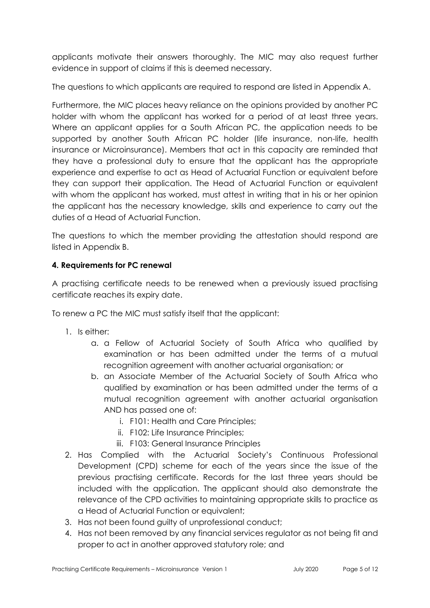applicants motivate their answers thoroughly. The MIC may also request further evidence in support of claims if this is deemed necessary.

The questions to which applicants are required to respond are listed in Appendix A.

Furthermore, the MIC places heavy reliance on the opinions provided by another PC holder with whom the applicant has worked for a period of at least three years. Where an applicant applies for a South African PC, the application needs to be supported by another South African PC holder (life insurance, non-life, health insurance or Microinsurance). Members that act in this capacity are reminded that they have a professional duty to ensure that the applicant has the appropriate experience and expertise to act as Head of Actuarial Function or equivalent before they can support their application. The Head of Actuarial Function or equivalent with whom the applicant has worked, must attest in writing that in his or her opinion the applicant has the necessary knowledge, skills and experience to carry out the duties of a Head of Actuarial Function.

The questions to which the member providing the attestation should respond are listed in Appendix B.

# **4. Requirements for PC renewal**

A practising certificate needs to be renewed when a previously issued practising certificate reaches its expiry date.

To renew a PC the MIC must satisfy itself that the applicant:

- 1. Is either:
	- a. a Fellow of Actuarial Society of South Africa who qualified by examination or has been admitted under the terms of a mutual recognition agreement with another actuarial organisation; or
	- b. an Associate Member of the Actuarial Society of South Africa who qualified by examination or has been admitted under the terms of a mutual recognition agreement with another actuarial organisation AND has passed one of:
		- i. F101: Health and Care Principles;
		- ii. F102: Life Insurance Principles;
		- iii. F103: General Insurance Principles
- 2. Has Complied with the Actuarial Society's Continuous Professional Development (CPD) scheme for each of the years since the issue of the previous practising certificate. Records for the last three years should be included with the application. The applicant should also demonstrate the relevance of the CPD activities to maintaining appropriate skills to practice as a Head of Actuarial Function or equivalent;
- 3. Has not been found guilty of unprofessional conduct;
- 4. Has not been removed by any financial services regulator as not being fit and proper to act in another approved statutory role; and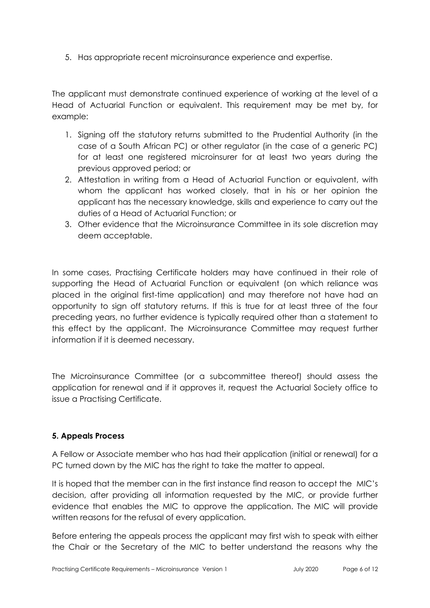5. Has appropriate recent microinsurance experience and expertise.

The applicant must demonstrate continued experience of working at the level of a Head of Actuarial Function or equivalent. This requirement may be met by, for example:

- 1. Signing off the statutory returns submitted to the Prudential Authority (in the case of a South African PC) or other regulator (in the case of a generic PC) for at least one registered microinsurer for at least two years during the previous approved period; or
- 2. Attestation in writing from a Head of Actuarial Function or equivalent, with whom the applicant has worked closely, that in his or her opinion the applicant has the necessary knowledge, skills and experience to carry out the duties of a Head of Actuarial Function; or
- 3. Other evidence that the Microinsurance Committee in its sole discretion may deem acceptable.

In some cases, Practising Certificate holders may have continued in their role of supporting the Head of Actuarial Function or equivalent (on which reliance was placed in the original first-time application) and may therefore not have had an opportunity to sign off statutory returns. If this is true for at least three of the four preceding years, no further evidence is typically required other than a statement to this effect by the applicant. The Microinsurance Committee may request further information if it is deemed necessary.

The Microinsurance Committee (or a subcommittee thereof) should assess the application for renewal and if it approves it, request the Actuarial Society office to issue a Practising Certificate.

# **5. Appeals Process**

A Fellow or Associate member who has had their application (initial or renewal) for a PC turned down by the MIC has the right to take the matter to appeal.

It is hoped that the member can in the first instance find reason to accept the MIC's decision, after providing all information requested by the MIC, or provide further evidence that enables the MIC to approve the application. The MIC will provide written reasons for the refusal of every application.

Before entering the appeals process the applicant may first wish to speak with either the Chair or the Secretary of the MIC to better understand the reasons why the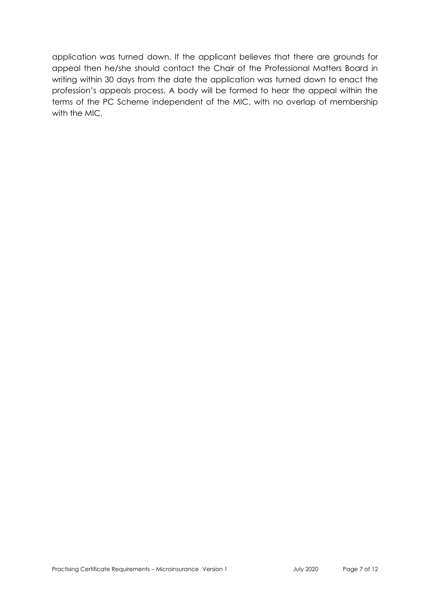application was turned down. If the applicant believes that there are grounds for appeal then he/she should contact the Chair of the Professional Matters Board in writing within 30 days from the date the application was turned down to enact the profession's appeals process. A body will be formed to hear the appeal within the terms of the PC Scheme independent of the MIC, with no overlap of membership with the MIC.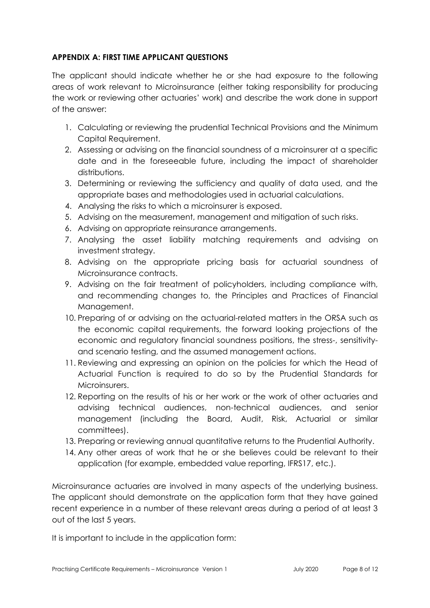## **APPENDIX A: FIRST TIME APPLICANT QUESTIONS**

The applicant should indicate whether he or she had exposure to the following areas of work relevant to Microinsurance (either taking responsibility for producing the work or reviewing other actuaries' work) and describe the work done in support of the answer:

- 1. Calculating or reviewing the prudential Technical Provisions and the Minimum Capital Requirement.
- 2. Assessing or advising on the financial soundness of a microinsurer at a specific date and in the foreseeable future, including the impact of shareholder distributions.
- 3. Determining or reviewing the sufficiency and quality of data used, and the appropriate bases and methodologies used in actuarial calculations.
- 4. Analysing the risks to which a microinsurer is exposed.
- 5. Advising on the measurement, management and mitigation of such risks.
- 6. Advising on appropriate reinsurance arrangements.
- 7. Analysing the asset liability matching requirements and advising on investment strategy.
- 8. Advising on the appropriate pricing basis for actuarial soundness of Microinsurance contracts.
- 9. Advising on the fair treatment of policyholders, including compliance with, and recommending changes to, the Principles and Practices of Financial Management.
- 10. Preparing of or advising on the actuarial-related matters in the ORSA such as the economic capital requirements, the forward looking projections of the economic and regulatory financial soundness positions, the stress-, sensitivityand scenario testing, and the assumed management actions.
- 11. Reviewing and expressing an opinion on the policies for which the Head of Actuarial Function is required to do so by the Prudential Standards for Microinsurers.
- 12. Reporting on the results of his or her work or the work of other actuaries and advising technical audiences, non-technical audiences, and senior management (including the Board, Audit, Risk, Actuarial or similar committees).
- 13. Preparing or reviewing annual quantitative returns to the Prudential Authority.
- 14. Any other areas of work that he or she believes could be relevant to their application (for example, embedded value reporting, IFRS17, etc.).

Microinsurance actuaries are involved in many aspects of the underlying business. The applicant should demonstrate on the application form that they have gained recent experience in a number of these relevant areas during a period of at least 3 out of the last 5 years.

It is important to include in the application form: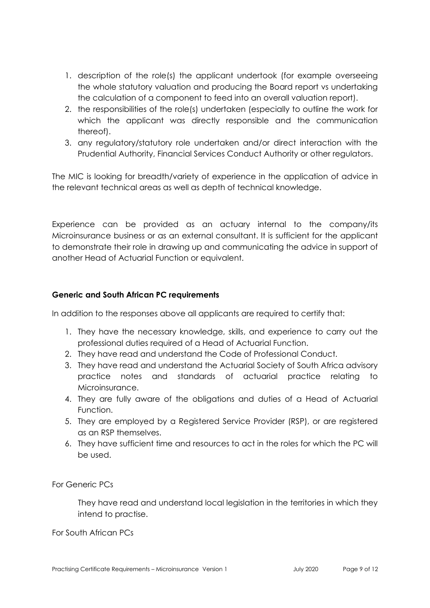- 1. description of the role(s) the applicant undertook (for example overseeing the whole statutory valuation and producing the Board report vs undertaking the calculation of a component to feed into an overall valuation report).
- 2. the responsibilities of the role(s) undertaken (especially to outline the work for which the applicant was directly responsible and the communication thereof).
- 3. any regulatory/statutory role undertaken and/or direct interaction with the Prudential Authority, Financial Services Conduct Authority or other regulators.

The MIC is looking for breadth/variety of experience in the application of advice in the relevant technical areas as well as depth of technical knowledge.

Experience can be provided as an actuary internal to the company/its Microinsurance business or as an external consultant. It is sufficient for the applicant to demonstrate their role in drawing up and communicating the advice in support of another Head of Actuarial Function or equivalent.

### **Generic and South African PC requirements**

In addition to the responses above all applicants are required to certify that:

- 1. They have the necessary knowledge, skills, and experience to carry out the professional duties required of a Head of Actuarial Function.
- 2. They have read and understand the Code of Professional Conduct.
- 3. They have read and understand the Actuarial Society of South Africa advisory practice notes and standards of actuarial practice relating to Microinsurance.
- 4. They are fully aware of the obligations and duties of a Head of Actuarial Function.
- 5. They are employed by a Registered Service Provider (RSP), or are registered as an RSP themselves.
- 6. They have sufficient time and resources to act in the roles for which the PC will be used.

For Generic PCs

They have read and understand local legislation in the territories in which they intend to practise.

For South African PCs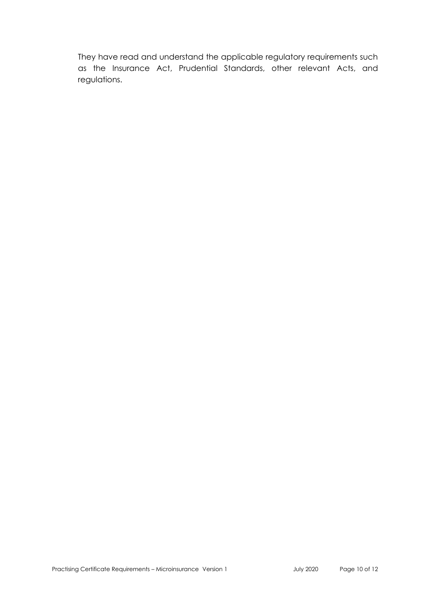They have read and understand the applicable regulatory requirements such as the Insurance Act, Prudential Standards, other relevant Acts, and regulations.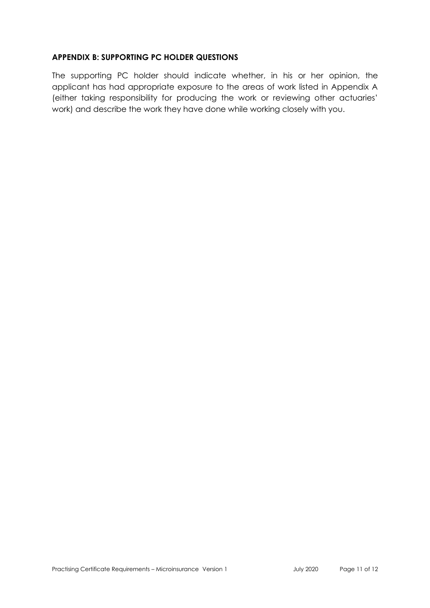### **APPENDIX B: SUPPORTING PC HOLDER QUESTIONS**

The supporting PC holder should indicate whether, in his or her opinion, the applicant has had appropriate exposure to the areas of work listed in Appendix A (either taking responsibility for producing the work or reviewing other actuaries' work) and describe the work they have done while working closely with you.